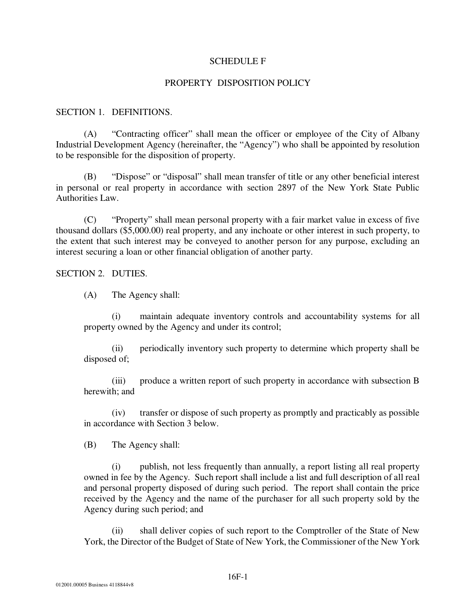## SCHEDULE F

## PROPERTY DISPOSITION POLICY

## SECTION 1. DEFINITIONS.

(A) "Contracting officer" shall mean the officer or employee of the City of Albany Industrial Development Agency (hereinafter, the "Agency") who shall be appointed by resolution to be responsible for the disposition of property.

(B) "Dispose" or "disposal" shall mean transfer of title or any other beneficial interest in personal or real property in accordance with section 2897 of the New York State Public Authorities Law.

(C) "Property" shall mean personal property with a fair market value in excess of five thousand dollars (\$5,000.00) real property, and any inchoate or other interest in such property, to the extent that such interest may be conveyed to another person for any purpose, excluding an interest securing a loan or other financial obligation of another party.

SECTION 2. DUTIES.

(A) The Agency shall:

(i) maintain adequate inventory controls and accountability systems for all property owned by the Agency and under its control;

(ii) periodically inventory such property to determine which property shall be disposed of;

(iii) produce a written report of such property in accordance with subsection B herewith; and

(iv) transfer or dispose of such property as promptly and practicably as possible in accordance with Section 3 below.

(B) The Agency shall:

(i) publish, not less frequently than annually, a report listing all real property owned in fee by the Agency. Such report shall include a list and full description of all real and personal property disposed of during such period. The report shall contain the price received by the Agency and the name of the purchaser for all such property sold by the Agency during such period; and

(ii) shall deliver copies of such report to the Comptroller of the State of New York, the Director of the Budget of State of New York, the Commissioner of the New York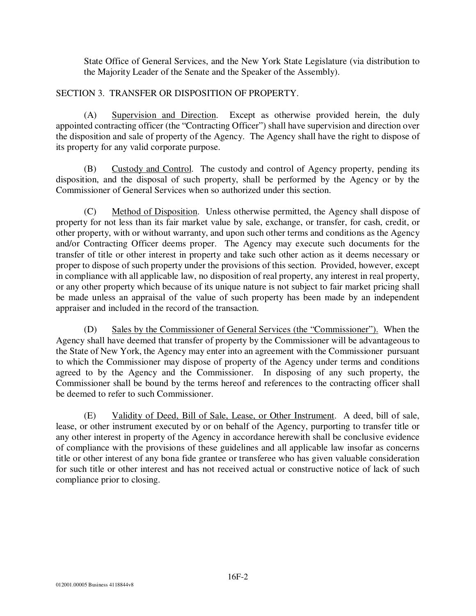State Office of General Services, and the New York State Legislature (via distribution to the Majority Leader of the Senate and the Speaker of the Assembly).

## SECTION 3. TRANSFER OR DISPOSITION OF PROPERTY.

(A) Supervision and Direction. Except as otherwise provided herein, the duly appointed contracting officer (the "Contracting Officer") shall have supervision and direction over the disposition and sale of property of the Agency. The Agency shall have the right to dispose of its property for any valid corporate purpose.

(B) Custody and Control. The custody and control of Agency property, pending its disposition, and the disposal of such property, shall be performed by the Agency or by the Commissioner of General Services when so authorized under this section.

(C) Method of Disposition. Unless otherwise permitted, the Agency shall dispose of property for not less than its fair market value by sale, exchange, or transfer, for cash, credit, or other property, with or without warranty, and upon such other terms and conditions as the Agency and/or Contracting Officer deems proper. The Agency may execute such documents for the transfer of title or other interest in property and take such other action as it deems necessary or proper to dispose of such property under the provisions of this section. Provided, however, except in compliance with all applicable law, no disposition of real property, any interest in real property, or any other property which because of its unique nature is not subject to fair market pricing shall be made unless an appraisal of the value of such property has been made by an independent appraiser and included in the record of the transaction.

(D) Sales by the Commissioner of General Services (the "Commissioner"). When the Agency shall have deemed that transfer of property by the Commissioner will be advantageous to the State of New York, the Agency may enter into an agreement with the Commissioner pursuant to which the Commissioner may dispose of property of the Agency under terms and conditions agreed to by the Agency and the Commissioner. In disposing of any such property, the Commissioner shall be bound by the terms hereof and references to the contracting officer shall be deemed to refer to such Commissioner.

(E) Validity of Deed, Bill of Sale, Lease, or Other Instrument. A deed, bill of sale, lease, or other instrument executed by or on behalf of the Agency, purporting to transfer title or any other interest in property of the Agency in accordance herewith shall be conclusive evidence of compliance with the provisions of these guidelines and all applicable law insofar as concerns title or other interest of any bona fide grantee or transferee who has given valuable consideration for such title or other interest and has not received actual or constructive notice of lack of such compliance prior to closing.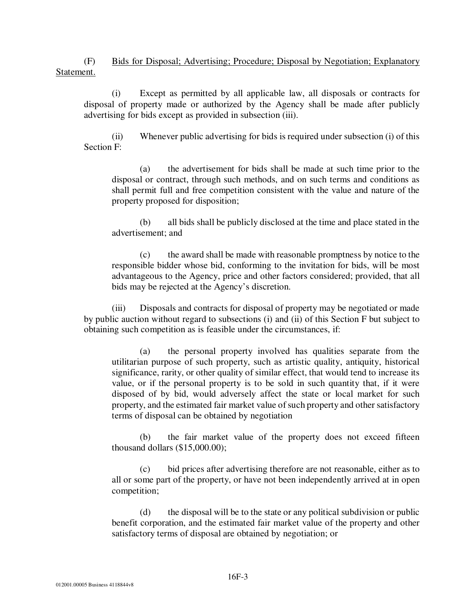(F) Bids for Disposal; Advertising; Procedure; Disposal by Negotiation; Explanatory Statement.

(i) Except as permitted by all applicable law, all disposals or contracts for disposal of property made or authorized by the Agency shall be made after publicly advertising for bids except as provided in subsection (iii).

(ii) Whenever public advertising for bids is required under subsection (i) of this Section F:

(a) the advertisement for bids shall be made at such time prior to the disposal or contract, through such methods, and on such terms and conditions as shall permit full and free competition consistent with the value and nature of the property proposed for disposition;

(b) all bids shall be publicly disclosed at the time and place stated in the advertisement; and

(c) the award shall be made with reasonable promptness by notice to the responsible bidder whose bid, conforming to the invitation for bids, will be most advantageous to the Agency, price and other factors considered; provided, that all bids may be rejected at the Agency's discretion.

(iii) Disposals and contracts for disposal of property may be negotiated or made by public auction without regard to subsections (i) and (ii) of this Section F but subject to obtaining such competition as is feasible under the circumstances, if:

(a) the personal property involved has qualities separate from the utilitarian purpose of such property, such as artistic quality, antiquity, historical significance, rarity, or other quality of similar effect, that would tend to increase its value, or if the personal property is to be sold in such quantity that, if it were disposed of by bid, would adversely affect the state or local market for such property, and the estimated fair market value of such property and other satisfactory terms of disposal can be obtained by negotiation

(b) the fair market value of the property does not exceed fifteen thousand dollars (\$15,000.00);

(c) bid prices after advertising therefore are not reasonable, either as to all or some part of the property, or have not been independently arrived at in open competition;

(d) the disposal will be to the state or any political subdivision or public benefit corporation, and the estimated fair market value of the property and other satisfactory terms of disposal are obtained by negotiation; or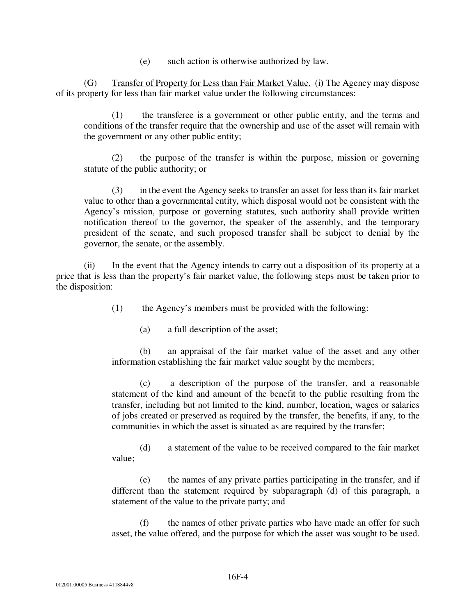(e) such action is otherwise authorized by law.

(G) Transfer of Property for Less than Fair Market Value. (i) The Agency may dispose of its property for less than fair market value under the following circumstances:

(1) the transferee is a government or other public entity, and the terms and conditions of the transfer require that the ownership and use of the asset will remain with the government or any other public entity;

(2) the purpose of the transfer is within the purpose, mission or governing statute of the public authority; or

(3) in the event the Agency seeks to transfer an asset for less than its fair market value to other than a governmental entity, which disposal would not be consistent with the Agency's mission, purpose or governing statutes, such authority shall provide written notification thereof to the governor, the speaker of the assembly, and the temporary president of the senate, and such proposed transfer shall be subject to denial by the governor, the senate, or the assembly.

(ii) In the event that the Agency intends to carry out a disposition of its property at a price that is less than the property's fair market value, the following steps must be taken prior to the disposition:

(1) the Agency's members must be provided with the following:

(a) a full description of the asset;

(b) an appraisal of the fair market value of the asset and any other information establishing the fair market value sought by the members;

(c) a description of the purpose of the transfer, and a reasonable statement of the kind and amount of the benefit to the public resulting from the transfer, including but not limited to the kind, number, location, wages or salaries of jobs created or preserved as required by the transfer, the benefits, if any, to the communities in which the asset is situated as are required by the transfer;

(d) a statement of the value to be received compared to the fair market value;

(e) the names of any private parties participating in the transfer, and if different than the statement required by subparagraph (d) of this paragraph, a statement of the value to the private party; and

(f) the names of other private parties who have made an offer for such asset, the value offered, and the purpose for which the asset was sought to be used.